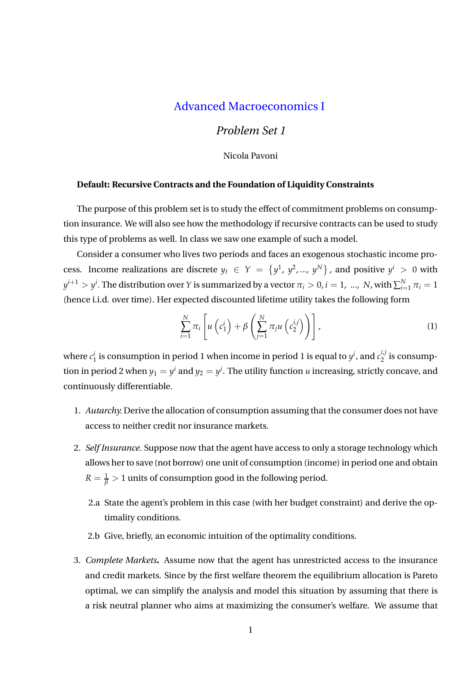## Advanced Macroeconomics I

## *Problem Set 1*

Nicola Pavoni

## **Default: Recursive Contracts and the Foundation of Liquidity Constraints**

The purpose of this problem set is to study the effect of commitment problems on consumption insurance. We will also see how the methodology if recursive contracts can be used to study this type of problems as well. In class we saw one example of such a model.

Consider a consumer who lives two periods and faces an exogenous stochastic income process. Income realizations are discrete  $y_t \in Y = \{y^1, y^2, ..., y^N\}$ , and positive  $y^i > 0$  with  $y^{i+1} > y^i$ . The distribution over *Y* is summarized by a vector  $\pi_i > 0$ ,  $i = 1, ..., N$ , with  $\sum_{i=1}^N \pi_i = 1$ (hence i.i.d. over time). Her expected discounted lifetime utility takes the following form

$$
\sum_{i=1}^{N} \pi_i \left[ u \left( c_1^i \right) + \beta \left( \sum_{j=1}^{N} \pi_j u \left( c_2^{i,j} \right) \right) \right], \tag{1}
$$

where  $c_1^i$  is consumption in period 1 when income in period 1 is equal to  $y^i$ , and  $c_2^{i,j}$  $\frac{1}{2}$  is consumption in period 2 when  $y_1 = y^i$  and  $y_2 = y^j$ . The utility function *u* increasing, strictly concave, and continuously differentiable.

- 1. *Autarchy.* Derive the allocation of consumption assuming that the consumer does not have access to neither credit nor insurance markets.
- 2. *Self Insurance*. Suppose now that the agent have access to only a storage technology which allows her to save (not borrow) one unit of consumption (income) in period one and obtain  $R=\frac{1}{\beta}>1$  units of consumption good in the following period.
	- 2.a State the agent's problem in this case (with her budget constraint) and derive the optimality conditions.
	- 2.b Give, briefly, an economic intuition of the optimality conditions.
- 3. *Complete Markets***.** Assume now that the agent has unrestricted access to the insurance and credit markets. Since by the first welfare theorem the equilibrium allocation is Pareto optimal, we can simplify the analysis and model this situation by assuming that there is a risk neutral planner who aims at maximizing the consumer's welfare. We assume that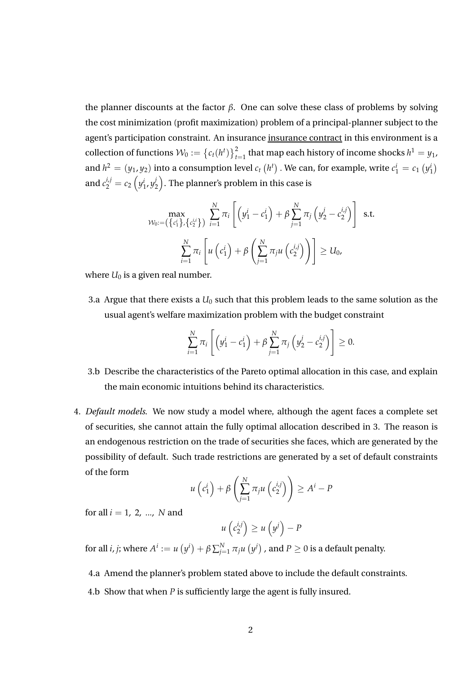the planner discounts at the factor *β*. One can solve these class of problems by solving the cost minimization (profit maximization) problem of a principal-planner subject to the agent's participation constraint. An insurance insurance contract in this environment is a collection of functions  $W_0 := \left\{c_t(h^t)\right\}_{t=1}^2$  that map each history of income shocks  $h^1 = y_1$ , and  $h^2 = (y_1, y_2)$  into a consumption level  $c_t(h^t)$ . We can, for example, write  $c_1^i = c_1(h^i)$ and  $c_2^{i,j}=c_2\left(y_1^i,y_2^j\right)$  $\mathbb{Z}_2^j \big).$  The planner's problem in this case is

$$
\max_{\mathcal{W}_0:=\left(\left\{c_1^i\right\},\left\{c_2^{i,i}\right\}\right)} \sum_{i=1}^N \pi_i \left[\left(y_1^i-c_1^i\right)+\beta \sum_{j=1}^N \pi_j \left(y_2^j-c_2^{i,j}\right)\right] \text{ s.t.}
$$
\n
$$
\sum_{i=1}^N \pi_i \left[u\left(c_1^i\right)+\beta \left(\sum_{j=1}^N \pi_j u\left(c_2^{i,j}\right)\right)\right] \geq U_0,
$$

where  $U_0$  is a given real number.

3.a Argue that there exists a *U*0 such that this problem leads to the same solution as the usual agent's welfare maximization problem with the budget constraint

$$
\sum_{i=1}^{N} \pi_i \left[ \left( y_1^i - c_1^i \right) + \beta \sum_{j=1}^{N} \pi_j \left( y_2^j - c_2^{i,j} \right) \right] \geq 0.
$$

- 3.b Describe the characteristics of the Pareto optimal allocation in this case, and explain the main economic intuitions behind its characteristics.
- 4. *Default models*. We now study a model where, although the agent faces a complete set of securities, she cannot attain the fully optimal allocation described in 3. The reason is an endogenous restriction on the trade of securities she faces, which are generated by the possibility of default. Such trade restrictions are generated by a set of default constraints of the form

$$
u\left(c_1^i\right) + \beta \left(\sum_{j=1}^N \pi_j u\left(c_2^{i,j}\right)\right) \geq A^i - P
$$

for all *i* = 1, 2, ..., *N* and

$$
u\left(c_2^{i,j}\right) \geq u\left(y^j\right) - P
$$

for all *i, j*; where  $A^i:=u\left(y^i\right)+\beta\sum_{j=1}^N\pi_ju\left(y^j\right)$  , and  $P\geq 0$  is a default penalty.

4.a Amend the planner's problem stated above to include the default constraints.

4.b Show that when *P* is sufficiently large the agent is fully insured.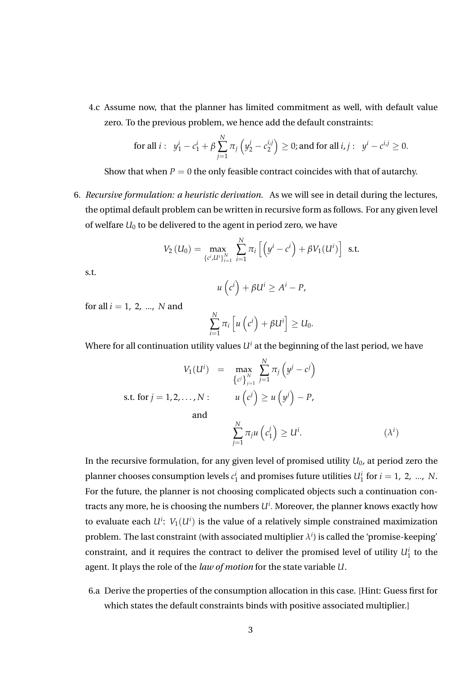4.c Assume now, that the planner has limited commitment as well, with default value zero. To the previous problem, we hence add the default constraints:

for all 
$$
i: y_1^i - c_1^i + \beta \sum_{j=1}^N \pi_j (y_2^j - c_2^{i,j}) \ge 0
$$
; and for all  $i, j: y^i - c^{i,j} \ge 0$ .

Show that when  $P = 0$  the only feasible contract coincides with that of autarchy.

6. *Recursive formulation: a heuristic derivation.* As we will see in detail during the lectures, the optimal default problem can be written in recursive form as follows. For any given level of welfare  $U_0$  to be delivered to the agent in period zero, we have

$$
V_2\left(U_0\right) = \max_{\{c^i, U^i\}_{i=1}^N} \sum_{i=1}^N \pi_i \left[ \left( y^i - c^i \right) + \beta V_1(U^i) \right] \text{ s.t.}
$$

s.t.

$$
u\left(c^{i}\right)+\beta U^{i}\geq A^{i}-P,
$$

for all *i* = 1, 2, ..., *N* and

$$
\sum_{i=1}^N \pi_i \left[ u \left( c^i \right) + \beta U^i \right] \geq U_0.
$$

Where for all continuation utility values  $U^i$  at the beginning of the last period, we have

$$
V_1(U^i) = \max_{\{c^j\}_{j=1}^N} \sum_{j=1}^N \pi_j \left(y^j - c^j\right)
$$
  
s.t. for  $j = 1, 2, ..., N$ :  
and  

$$
\sum_{j=1}^N \pi_j u \left(c_1^j\right) \ge U^i.
$$
 (λ<sup>i</sup>)

In the recursive formulation, for any given level of promised utility *U*0, at period zero the planner chooses consumption levels  $c_1^i$  and promises future utilities  $U_1^i$  for  $i = 1, 2, ..., N$ . For the future, the planner is not choosing complicated objects such a continuation contracts any more, he is choosing the numbers *U<sup>i</sup>* . Moreover, the planner knows exactly how to evaluate each  $U^i$ :  $V_1(U^i)$  is the value of a relatively simple constrained maximization problem. The last constraint (with associated multiplier  $\lambda^i$ ) is called the 'promise-keeping' constraint, and it requires the contract to deliver the promised level of utility  $U_1^i$  to the agent. It plays the role of the *law of motion* for the state variable *U*.

6.a Derive the properties of the consumption allocation in this case. [Hint: Guess first for which states the default constraints binds with positive associated multiplier.]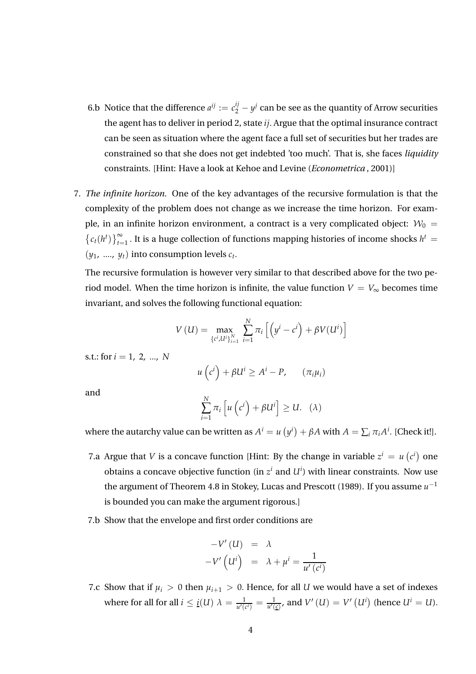- 6.b Notice that the difference  $a^{ij} := c_2^{ij} y^j$  can be see as the quantity of Arrow securities the agent has to deliver in period 2, state *ij*. Argue that the optimal insurance contract can be seen as situation where the agent face a full set of securities but her trades are constrained so that she does not get indebted 'too much'. That is, she faces *liquidity* constraints. [Hint: Have a look at Kehoe and Levine (*Econometrica* , 2001)]
- 7. *The infinite horizon.* One of the key advantages of the recursive formulation is that the complexity of the problem does not change as we increase the time horizon. For example, in an infinite horizon environment, a contract is a very complicated object:  $W_0 =$  $\{c_t(h^t)\}_{t=1}^{\infty}$ . It is a huge collection of functions mapping histories of income shocks  $h^t$  =  $(y_1, \ldots, y_t)$  into consumption levels  $c_t$ .

The recursive formulation is however very similar to that described above for the two period model. When the time horizon is infinite, the value function  $V = V_{\infty}$  becomes time invariant, and solves the following functional equation:

$$
V\left(U\right) = \max_{\left\{c^i, U^i\right\}_{i=1}^N} \sum_{i=1}^N \pi_i \left[ \left( y^i - c^i \right) + \beta V(U^i) \right]
$$

s.t.: for *i* = 1, 2, ..., *N*

$$
u\left(c^{i}\right) + \beta U^{i} \ge A^{i} - P, \qquad (\pi_{i}\mu_{i})
$$

and

$$
\sum_{i=1}^{N} \pi_i \left[ u \left( c^i \right) + \beta U^i \right] \geq U. \quad (\lambda)
$$

where the autarchy value can be written as  $A^i = u(y^i) + \beta A$  with  $A = \sum_i \pi_i A^i$ . [Check it!].

- 7.a Argue that *V* is a concave function [Hint: By the change in variable  $z^i = u(c^i)$  one obtains a concave objective function (in  $z^i$  and  $U^i$ ) with linear constraints. Now use the argument of Theorem 4.8 in Stokey, Lucas and Prescott (1989). If you assume  $u^{-1}$ is bounded you can make the argument rigorous.]
- 7.b Show that the envelope and first order conditions are

$$
-V'(U) = \lambda
$$
  

$$
-V'\left(U^{i}\right) = \lambda + \mu^{i} = \frac{1}{u'\left(c^{i}\right)}
$$

7.c Show that if  $\mu_i > 0$  then  $\mu_{i+1} > 0$ . Hence, for all *U* we would have a set of indexes where for all for all  $i \leq \underline{i}(U)$   $\lambda = \frac{1}{u'(c^i)} = \frac{1}{u'(c)}$ , and  $V'\left(U\right) = V'\left(U^i\right)$  (hence  $U^i = U$ ).